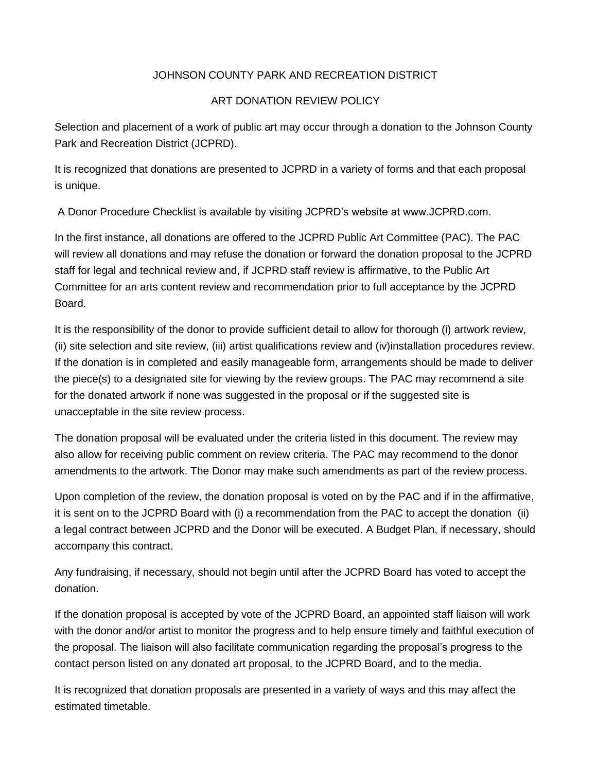## JOHNSON COUNTY PARK AND RECREATION DISTRICT

## ART DONATION REVIEW POLICY

Selection and placement of a work of public art may occur through a donation to the Johnson County Park and Recreation District (JCPRD).

It is recognized that donations are presented to JCPRD in a variety of forms and that each proposal is unique.

A Donor Procedure Checklist is available by visiting JCPRD's website at www.JCPRD.com.

In the first instance, all donations are offered to the JCPRD Public Art Committee (PAC). The PAC will review all donations and may refuse the donation or forward the donation proposal to the JCPRD staff for legal and technical review and, if JCPRD staff review is affirmative, to the Public Art Committee for an arts content review and recommendation prior to full acceptance by the JCPRD Board.

It is the responsibility of the donor to provide sufficient detail to allow for thorough (i) artwork review, (ii) site selection and site review, (iii) artist qualifications review and (iv)installation procedures review. If the donation is in completed and easily manageable form, arrangements should be made to deliver the piece(s) to a designated site for viewing by the review groups. The PAC may recommend a site for the donated artwork if none was suggested in the proposal or if the suggested site is unacceptable in the site review process.

The donation proposal will be evaluated under the criteria listed in this document. The review may also allow for receiving public comment on review criteria. The PAC may recommend to the donor amendments to the artwork. The Donor may make such amendments as part of the review process.

Upon completion of the review, the donation proposal is voted on by the PAC and if in the affirmative, it is sent on to the JCPRD Board with (i) a recommendation from the PAC to accept the donation (ii) a legal contract between JCPRD and the Donor will be executed. A Budget Plan, if necessary, should accompany this contract.

Any fundraising, if necessary, should not begin until after the JCPRD Board has voted to accept the donation.

If the donation proposal is accepted by vote of the JCPRD Board, an appointed staff liaison will work with the donor and/or artist to monitor the progress and to help ensure timely and faithful execution of the proposal. The liaison will also facilitate communication regarding the proposal's progress to the contact person listed on any donated art proposal, to the JCPRD Board, and to the media.

It is recognized that donation proposals are presented in a variety of ways and this may affect the estimated timetable.